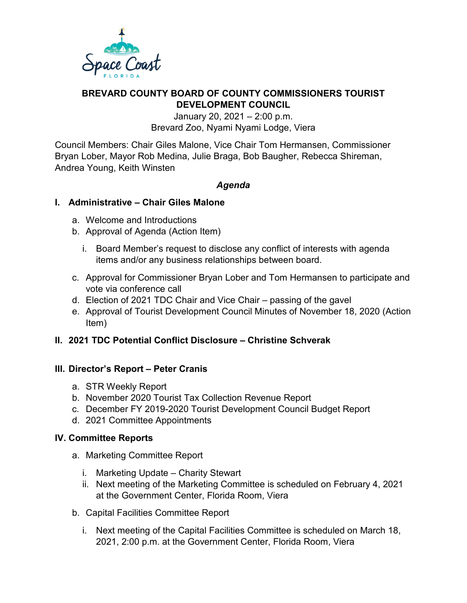

# **BREVARD COUNTY BOARD OF COUNTY COMMISSIONERS TOURIST DEVELOPMENT COUNCIL**

January 20, 2021 – 2:00 p.m. Brevard Zoo, Nyami Nyami Lodge, Viera

Council Members: Chair Giles Malone, Vice Chair Tom Hermansen, Commissioner Bryan Lober, Mayor Rob Medina, Julie Braga, Bob Baugher, Rebecca Shireman, Andrea Young, Keith Winsten

## *Agenda*

## **I. Administrative – Chair Giles Malone**

- a. Welcome and Introductions
- b. Approval of Agenda (Action Item)
	- i. Board Member's request to disclose any conflict of interests with agenda items and/or any business relationships between board.
- c. Approval for Commissioner Bryan Lober and Tom Hermansen to participate and vote via conference call
- d. Election of 2021 TDC Chair and Vice Chair passing of the gavel
- e. Approval of Tourist Development Council Minutes of November 18, 2020 (Action Item)

## **II. 2021 TDC Potential Conflict Disclosure – Christine Schverak**

## **III. Director's Report – Peter Cranis**

- a. STR Weekly Report
- b. November 2020 Tourist Tax Collection Revenue Report
- c. December FY 2019-2020 Tourist Development Council Budget Report
- d. 2021 Committee Appointments

## **IV. Committee Reports**

- a. Marketing Committee Report
	- i. Marketing Update Charity Stewart
	- ii. Next meeting of the Marketing Committee is scheduled on February 4, 2021 at the Government Center, Florida Room, Viera
- b. Capital Facilities Committee Report
	- i. Next meeting of the Capital Facilities Committee is scheduled on March 18, 2021, 2:00 p.m. at the Government Center, Florida Room, Viera